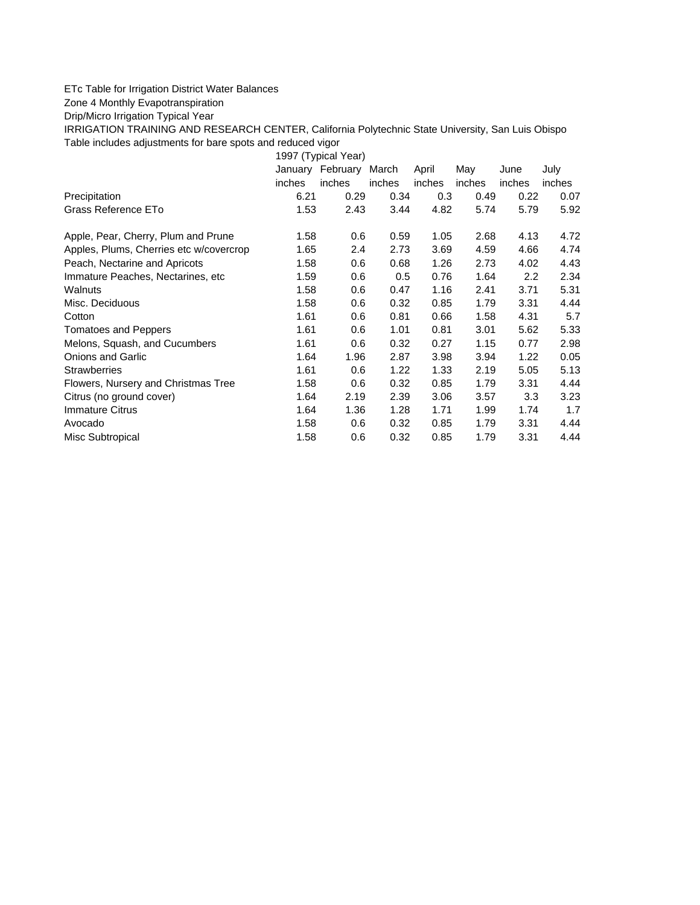## ETc Table for Irrigation District Water Balances

Zone 4 Monthly Evapotranspiration

Drip/Micro Irrigation Typical Year

IRRIGATION TRAINING AND RESEARCH CENTER, California Polytechnic State University, San Luis Obispo Table includes adjustments for bare spots and reduced vigor

1997 (Typical Year) January February March April May June July inches inches inches inches inches inches inches Precipitation 6.21 0.29 0.34 0.3 0.49 0.22 0.07 Grass Reference ETo **1.53** 2.43 3.44 4.82 5.74 5.79 5.92 Apple, Pear, Cherry, Plum and Prune 1.58 0.6 0.59 1.05 2.68 4.13 4.72 Apples, Plums, Cherries etc w/covercrop 1.65 2.4 2.73 3.69 4.59 4.66 4.74 Peach, Nectarine and Apricots 1.58 0.6 0.68 1.26 2.73 4.02 4.43 Immature Peaches, Nectarines, etc 1.59 0.6 0.5 0.76 1.64 2.2 2.34 Walnuts 1.58 0.6 0.47 1.16 2.41 3.71 5.31 Misc. Deciduous 1.58 0.6 0.32 0.85 1.79 3.31 4.44 Cotton 1.61 0.6 0.81 0.66 1.58 4.31 5.7 Tomatoes and Peppers 1.61 0.6 1.01 0.81 3.01 5.62 5.33 Melons, Squash, and Cucumbers 1.61 0.6 0.32 0.27 1.15 0.77 2.98 Onions and Garlic 1.64 1.96 2.87 3.98 3.94 1.22 0.05 Strawberries 1.61 0.6 1.22 1.33 2.19 5.05 5.13 Flowers, Nursery and Christmas Tree  $1.58$  0.6 0.32 0.85 1.79 3.31 4.44 Citrus (no ground cover) 1.64 2.19 2.39 3.06 3.57 3.3 3.23 Immature Citrus 1.64 1.36 1.28 1.71 1.99 1.74 1.7 Avocado 1.58 0.6 0.32 0.85 1.79 3.31 4.44 Misc Subtropical 1.58 0.6 0.32 0.85 1.79 3.31 4.44